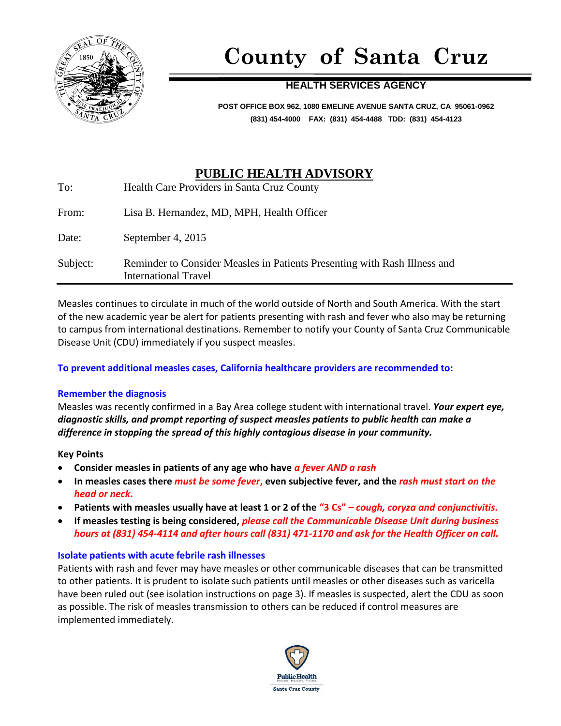

# **County of Santa Cruz**

### **HEALTH SERVICES AGENCY**

**POST OFFICE BOX 962, 1080 EMELINE AVENUE SANTA CRUZ, CA 95061-0962 (831) 454-4000 FAX: (831) 454-4488 TDD: (831) 454-4123**

## **PUBLIC HEALTH ADVISORY**

| To:      | Health Care Providers in Santa Cruz County                                                               |
|----------|----------------------------------------------------------------------------------------------------------|
| From:    | Lisa B. Hernandez, MD, MPH, Health Officer                                                               |
| Date:    | September 4, 2015                                                                                        |
| Subject: | Reminder to Consider Measles in Patients Presenting with Rash Illness and<br><b>International Travel</b> |

Measles continues to circulate in much of the world outside of North and South America. With the start of the new academic year be alert for patients presenting with rash and fever who also may be returning to campus from international destinations. Remember to notify your County of Santa Cruz Communicable Disease Unit (CDU) immediately if you suspect measles.

#### **To prevent additional measles cases, California healthcare providers are recommended to:**

#### **Remember the diagnosis**

Measles was recently confirmed in a Bay Area college student with international travel. *Your expert eye, diagnostic skills, and prompt reporting of suspect measles patients to public health can make a difference in stopping the spread of this highly contagious disease in your community.*

#### **Key Points**

- **Consider measles in patients of any age who have** *a fever AND a rash*
- **In measles cases there** *must be some fever***, even subjective fever, and the** *rash must start on the head or neck***.**
- **Patients with measles usually have at least 1 or 2 of the "3 Cs"** *– cough, coryza and conjunctivitis.*
- **If measles testing is being considered,** *please call the Communicable Disease Unit during business hours at (831) 454-4114 and after hours call (831) 471-1170 and ask for the Health Officer on call.*

#### **Isolate patients with acute febrile rash illnesses**

Patients with rash and fever may have measles or other communicable diseases that can be transmitted to other patients. It is prudent to isolate such patients until measles or other diseases such as varicella have been ruled out (see isolation instructions on page 3). If measles is suspected, alert the CDU as soon as possible. The risk of measles transmission to others can be reduced if control measures are implemented immediately.

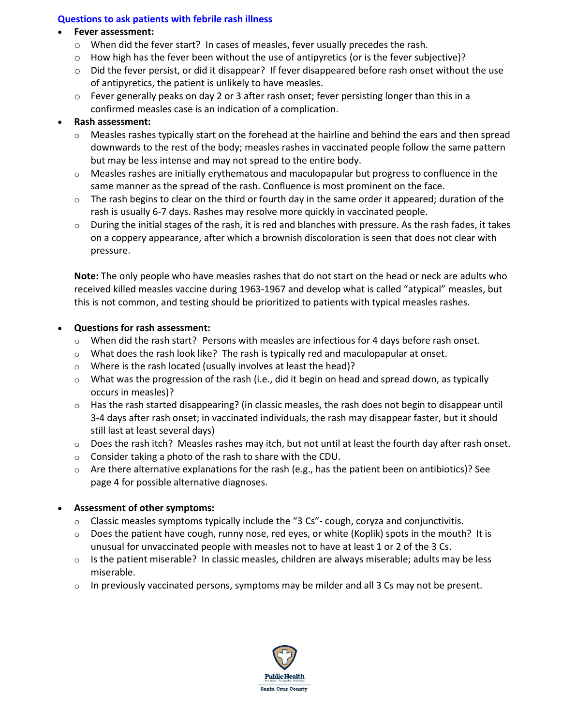#### **Questions to ask patients with febrile rash illness**

#### **Fever assessment:**

- $\circ$  When did the fever start? In cases of measles, fever usually precedes the rash.
- $\circ$  How high has the fever been without the use of antipyretics (or is the fever subjective)?
- o Did the fever persist, or did it disappear? If fever disappeared before rash onset without the use of antipyretics, the patient is unlikely to have measles.
- $\circ$  Fever generally peaks on day 2 or 3 after rash onset; fever persisting longer than this in a confirmed measles case is an indication of a complication.

#### **Rash assessment:**

- Measles rashes typically start on the forehead at the hairline and behind the ears and then spread downwards to the rest of the body; measles rashes in vaccinated people follow the same pattern but may be less intense and may not spread to the entire body.
- $\circ$  Measles rashes are initially erythematous and maculopapular but progress to confluence in the same manner as the spread of the rash. Confluence is most prominent on the face.
- $\circ$  The rash begins to clear on the third or fourth day in the same order it appeared; duration of the rash is usually 6-7 days. Rashes may resolve more quickly in vaccinated people.
- $\circ$  During the initial stages of the rash, it is red and blanches with pressure. As the rash fades, it takes on a coppery appearance, after which a brownish discoloration is seen that does not clear with pressure.

**Note:** The only people who have measles rashes that do not start on the head or neck are adults who received killed measles vaccine during 1963-1967 and develop what is called "atypical" measles, but this is not common, and testing should be prioritized to patients with typical measles rashes.

#### **Questions for rash assessment:**

- $\circ$  When did the rash start? Persons with measles are infectious for 4 days before rash onset.
- $\circ$  What does the rash look like? The rash is typically red and maculopapular at onset.
- $\circ$  Where is the rash located (usually involves at least the head)?
- $\circ$  What was the progression of the rash (i.e., did it begin on head and spread down, as typically occurs in measles)?
- o Has the rash started disappearing? (in classic measles, the rash does not begin to disappear until 3-4 days after rash onset; in vaccinated individuals, the rash may disappear faster, but it should still last at least several days)
- o Does the rash itch? Measles rashes may itch, but not until at least the fourth day after rash onset.
- o Consider taking a photo of the rash to share with the CDU.
- $\circ$  Are there alternative explanations for the rash (e.g., has the patient been on antibiotics)? See page 4 for possible alternative diagnoses.

#### **Assessment of other symptoms:**

- $\circ$  Classic measles symptoms typically include the "3 Cs"- cough, coryza and conjunctivitis.
- $\circ$  Does the patient have cough, runny nose, red eyes, or white (Koplik) spots in the mouth? It is unusual for unvaccinated people with measles not to have at least 1 or 2 of the 3 Cs.
- o Is the patient miserable? In classic measles, children are always miserable; adults may be less miserable.
- $\circ$  In previously vaccinated persons, symptoms may be milder and all 3 Cs may not be present.

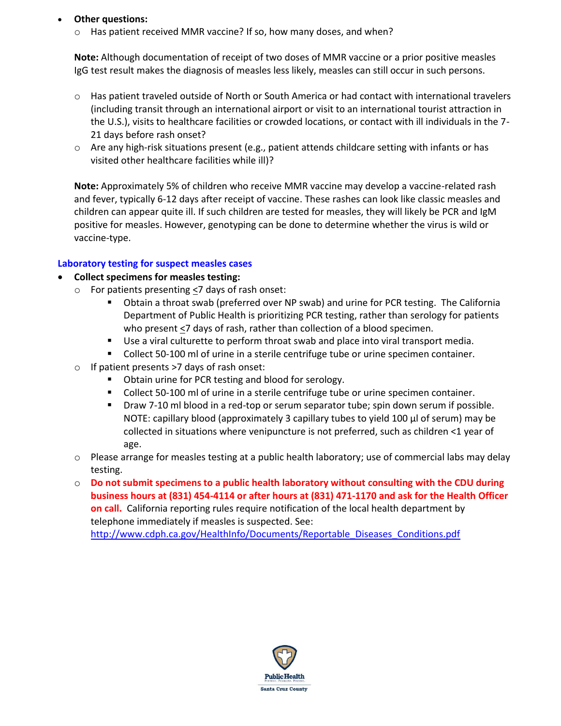#### **Other questions:**

 $\circ$  Has patient received MMR vaccine? If so, how many doses, and when?

**Note:** Although documentation of receipt of two doses of MMR vaccine or a prior positive measles IgG test result makes the diagnosis of measles less likely, measles can still occur in such persons.

- $\circ$  Has patient traveled outside of North or South America or had contact with international travelers (including transit through an international airport or visit to an international tourist attraction in the U.S.), visits to healthcare facilities or crowded locations, or contact with ill individuals in the 7- 21 days before rash onset?
- $\circ$  Are any high-risk situations present (e.g., patient attends childcare setting with infants or has visited other healthcare facilities while ill)?

**Note:** Approximately 5% of children who receive MMR vaccine may develop a vaccine-related rash and fever, typically 6-12 days after receipt of vaccine. These rashes can look like classic measles and children can appear quite ill. If such children are tested for measles, they will likely be PCR and IgM positive for measles. However, genotyping can be done to determine whether the virus is wild or vaccine-type.

#### **Laboratory testing for suspect measles cases**

#### **Collect specimens for measles testing:**

- o For patients presenting <7 days of rash onset:
	- Obtain a throat swab (preferred over NP swab) and urine for PCR testing. The California Department of Public Health is prioritizing PCR testing, rather than serology for patients who present <7 days of rash, rather than collection of a blood specimen.
	- Use a viral culturette to perform throat swab and place into viral transport media.
	- Collect 50-100 ml of urine in a sterile centrifuge tube or urine specimen container.
- o If patient presents >7 days of rash onset:
	- **D** Obtain urine for PCR testing and blood for serology.
	- Collect 50-100 ml of urine in a sterile centrifuge tube or urine specimen container.
	- Draw 7-10 ml blood in a red-top or serum separator tube; spin down serum if possible. NOTE: capillary blood (approximately 3 capillary tubes to yield 100 µl of serum) may be collected in situations where venipuncture is not preferred, such as children <1 year of age.
- $\circ$  Please arrange for measles testing at a public health laboratory; use of commercial labs may delay testing.
- o **Do not submit specimens to a public health laboratory without consulting with the CDU during business hours at (831) 454-4114 or after hours at (831) 471-1170 and ask for the Health Officer on call.** California reporting rules require notification of the local health department by telephone immediately if measles is suspected. See: [http://www.cdph.ca.gov/HealthInfo/Documents/Reportable\\_Diseases\\_Conditions.pdf](http://www.cdph.ca.gov/HealthInfo/Documents/Reportable_Diseases_Conditions.pdf)

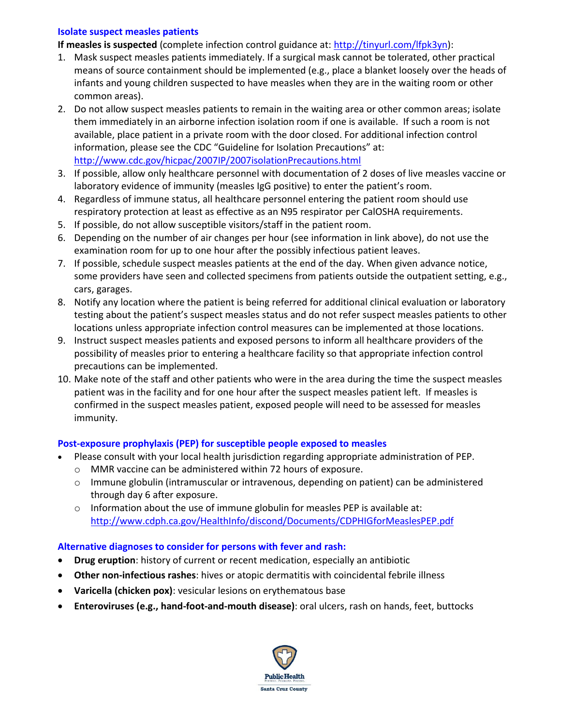#### **Isolate suspect measles patients**

- **If measles is suspected** (complete infection control guidance at: [http://tinyurl.com/lfpk3yn\)](http://tinyurl.com/lfpk3yn):
- 1. Mask suspect measles patients immediately. If a surgical mask cannot be tolerated, other practical means of source containment should be implemented (e.g., place a blanket loosely over the heads of infants and young children suspected to have measles when they are in the waiting room or other common areas).
- 2. Do not allow suspect measles patients to remain in the waiting area or other common areas; isolate them immediately in an airborne infection isolation room if one is available. If such a room is not available, place patient in a private room with the door closed. For additional infection control information, please see the CDC "Guideline for Isolation Precautions" at: <http://www.cdc.gov/hicpac/2007IP/2007isolationPrecautions.html>
- 3. If possible, allow only healthcare personnel with documentation of 2 doses of live measles vaccine or laboratory evidence of immunity (measles IgG positive) to enter the patient's room.
- 4. Regardless of immune status, all healthcare personnel entering the patient room should use respiratory protection at least as effective as an N95 respirator per CalOSHA requirements.
- 5. If possible, do not allow susceptible visitors/staff in the patient room.
- 6. Depending on the number of air changes per hour (see information in link above), do not use the examination room for up to one hour after the possibly infectious patient leaves.
- 7. If possible, schedule suspect measles patients at the end of the day. When given advance notice, some providers have seen and collected specimens from patients outside the outpatient setting, e.g., cars, garages.
- 8. Notify any location where the patient is being referred for additional clinical evaluation or laboratory testing about the patient's suspect measles status and do not refer suspect measles patients to other locations unless appropriate infection control measures can be implemented at those locations.
- 9. Instruct suspect measles patients and exposed persons to inform all healthcare providers of the possibility of measles prior to entering a healthcare facility so that appropriate infection control precautions can be implemented.
- 10. Make note of the staff and other patients who were in the area during the time the suspect measles patient was in the facility and for one hour after the suspect measles patient left. If measles is confirmed in the suspect measles patient, exposed people will need to be assessed for measles immunity.

#### **Post-exposure prophylaxis (PEP) for susceptible people exposed to measles**

- Please consult with your local health jurisdiction regarding appropriate administration of PEP.
	- o MMR vaccine can be administered within 72 hours of exposure.
	- $\circ$  Immune globulin (intramuscular or intravenous, depending on patient) can be administered through day 6 after exposure.
	- $\circ$  Information about the use of immune globulin for measles PEP is available at: <http://www.cdph.ca.gov/HealthInfo/discond/Documents/CDPHIGforMeaslesPEP.pdf>

#### **Alternative diagnoses to consider for persons with fever and rash:**

- **Drug eruption**: history of current or recent medication, especially an antibiotic
- **Other non-infectious rashes**: hives or atopic dermatitis with coincidental febrile illness
- **Varicella (chicken pox)**: vesicular lesions on erythematous base
- **Enteroviruses (e.g., hand-foot-and-mouth disease)**: oral ulcers, rash on hands, feet, buttocks